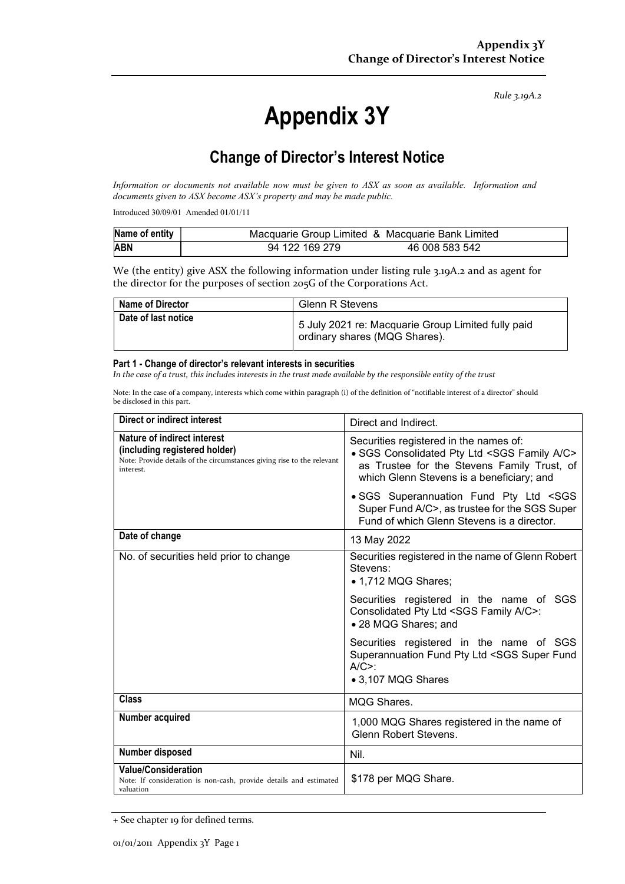Rule 3.19A.2

# Appendix 3Y

# Change of Director's Interest Notice

Information or documents not available now must be given to ASX as soon as available. Information and documents given to ASX become ASX's property and may be made public.

Introduced 30/09/01 Amended 01/01/11

| Name of entity | Macquarie Group Limited & Macquarie Bank Limited |                |
|----------------|--------------------------------------------------|----------------|
| <b>ABN</b>     | 94 122 169 279                                   | 46 008 583 542 |

We (the entity) give ASX the following information under listing rule 3.19A.2 and as agent for the director for the purposes of section 205G of the Corporations Act.

| <b>Name of Director</b> | <b>Glenn R Stevens</b>                                                              |
|-------------------------|-------------------------------------------------------------------------------------|
| Date of last notice     | 5 July 2021 re: Macquarie Group Limited fully paid<br>ordinary shares (MQG Shares). |

#### Part 1 - Change of director's relevant interests in securities

In the case of a trust, this includes interests in the trust made available by the responsible entity of the trust

Note: In the case of a company, interests which come within paragraph (i) of the definition of "notifiable interest of a director" should be disclosed in this part.

| Direct or indirect interest                                                                                                                         | Direct and Indirect.                                                                                                                                                                               |  |
|-----------------------------------------------------------------------------------------------------------------------------------------------------|----------------------------------------------------------------------------------------------------------------------------------------------------------------------------------------------------|--|
| Nature of indirect interest<br>(including registered holder)<br>Note: Provide details of the circumstances giving rise to the relevant<br>interest. | Securities registered in the names of:<br>• SGS Consolidated Pty Ltd <sgs a="" c="" family=""><br/>as Trustee for the Stevens Family Trust, of<br/>which Glenn Stevens is a beneficiary; and</sgs> |  |
|                                                                                                                                                     | · SGS Superannuation Fund Pty Ltd <sgs<br>Super Fund A/C&gt;, as trustee for the SGS Super<br/>Fund of which Glenn Stevens is a director.</sgs<br>                                                 |  |
| Date of change                                                                                                                                      | 13 May 2022                                                                                                                                                                                        |  |
| No. of securities held prior to change                                                                                                              | Securities registered in the name of Glenn Robert<br>Stevens:<br>• 1,712 MQG Shares;                                                                                                               |  |
|                                                                                                                                                     | Securities registered in the name of SGS<br>Consolidated Pty Ltd <sgs a="" c="" family="">:<br/>• 28 MQG Shares; and</sgs>                                                                         |  |
|                                                                                                                                                     | Securities registered in the name of SGS<br>Superannuation Fund Pty Ltd <sgs fund<br="" super=""><math>A/C&gt;</math>:<br/>• 3,107 MQG Shares</sgs>                                                |  |
| <b>Class</b>                                                                                                                                        | <b>MQG Shares.</b>                                                                                                                                                                                 |  |
| Number acquired                                                                                                                                     | 1,000 MQG Shares registered in the name of<br><b>Glenn Robert Stevens.</b>                                                                                                                         |  |
| Number disposed                                                                                                                                     | Nil.                                                                                                                                                                                               |  |
| <b>Value/Consideration</b><br>Note: If consideration is non-cash, provide details and estimated<br>valuation                                        | \$178 per MQG Share.                                                                                                                                                                               |  |

<sup>+</sup> See chapter 19 for defined terms.